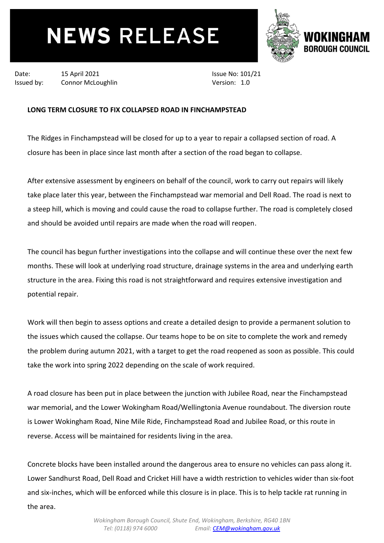## **NEWS RELEASE**



Date: 15 April 2021

Issued by: Connor McLoughlin

Issue No: 101/21 Version: 1.0

## **LONG TERM CLOSURE TO FIX COLLAPSED ROAD IN FINCHAMPSTEAD**

The Ridges in Finchampstead will be closed for up to a year to repair a collapsed section of road. A closure has been in place since last month after a section of the road began to collapse.

After extensive assessment by engineers on behalf of the council, work to carry out repairs will likely take place later this year, between the Finchampstead war memorial and Dell Road. The road is next to a steep hill, which is moving and could cause the road to collapse further. The road is completely closed and should be avoided until repairs are made when the road will reopen.

The council has begun further investigations into the collapse and will continue these over the next few months. These will look at underlying road structure, drainage systems in the area and underlying earth structure in the area. Fixing this road is not straightforward and requires extensive investigation and potential repair.

Work will then begin to assess options and create a detailed design to provide a permanent solution to the issues which caused the collapse. Our teams hope to be on site to complete the work and remedy the problem during autumn 2021, with a target to get the road reopened as soon as possible. This could take the work into spring 2022 depending on the scale of work required.

A road closure has been put in place between the junction with Jubilee Road, near the Finchampstead war memorial, and the Lower Wokingham Road/Wellingtonia Avenue roundabout. The diversion route is Lower Wokingham Road, Nine Mile Ride, Finchampstead Road and Jubilee Road, or this route in reverse. Access will be maintained for residents living in the area.

Concrete blocks have been installed around the dangerous area to ensure no vehicles can pass along it. Lower Sandhurst Road, Dell Road and Cricket Hill have a width restriction to vehicles wider than six-foot and six-inches, which will be enforced while this closure is in place. This is to help tackle rat running in the area.